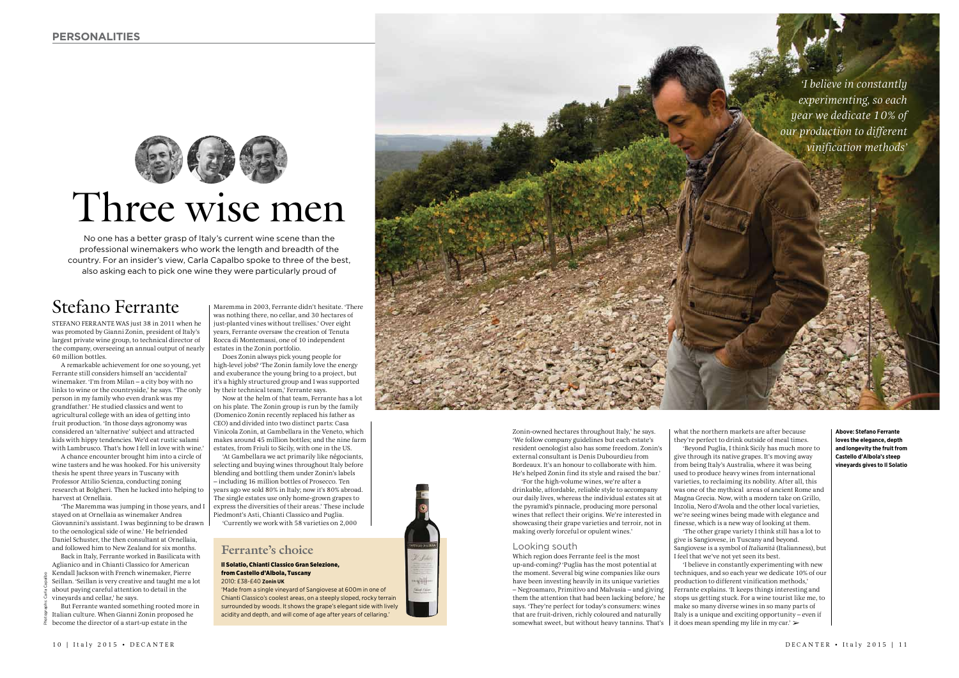

# No one has a better grasp of Italy's current wine scene than the professional winemakers who work the length and breadth of the country. For an insider's view, Carla Capalbo spoke to three of the best,

also asking each to pick one wine they were particularly proud of

Stefano Ferrante

STEFANO FERRANTE WAS just 38 in 2011 when he was promoted by Gianni Zonin, president of Italy's largest private wine group, to technical director of the company, overseeing an annual output of nearly 60 million bottles.

A remarkable achievement for one so young, yet Ferrante still considers himself an 'accidental' winemaker. 'I'm from Milan – a city boy with no links to wine or the countryside,' he says. 'The only person in my family who even drank was my grandfather.' He studied classics and went to agricultural college with an idea of getting into fruit production. 'In those days agronomy was considered an 'alternative' subject and attracted kids with hippy tendencies. We'd eat rustic salami with Lambrusco. That's how I fell in love with wine.'

A chance encounter brought him into a circle of wine tasters and he was hooked. For his university thesis he spent three years in Tuscany with Professor Attilio Scienza, conducting zoning research at Bolgheri. Then he lucked into helping to harvest at Ornellaia.

'The Maremma was jumping in those years, and I stayed on at Ornellaia as winemaker Andrea Giovannini's assistant. I was beginning to be drawn to the oenological side of wine.' He befriended Daniel Schuster, the then consultant at Ornellaia, and followed him to New Zealand for six months.

Back in Italy, Ferrante worked in Basilicata with Aglianico and in Chianti Classico for American Kendall Jackson with French winemaker, Pierre Seillan. 'Seillan is very creative and taught me a lot about paying careful attention to detail in the vineyards and cellar,' he says.

But Ferrante wanted something rooted more in Italian culture. When Gianni Zonin proposed he become the director of a start-up estate in the

Photographs: Carla Capalbo

Maremma in 2003, Ferrante didn't hesitate. 'There was nothing there, no cellar, and 30 hectares of just-planted vines without trellises.' Over eight years, Ferrante oversaw the creation of Tenuta Rocca di Montemassi, one of 10 independent estates in the Zonin portfolio.

Does Zonin always pick young people for high-level jobs? 'The Zonin family love the energy and exuberance the young bring to a project, but it's a highly structured group and I was supported by their technical team,' Ferrante says.

Now at the helm of that team, Ferrante has a lot on his plate. The Zonin group is run by the family (Domenico Zonin recently replaced his father as CEO) and divided into two distinct parts: Casa Vinicola Zonin, at Gambellara in the Veneto, which makes around 45 million bottles; and the nine farm estates, from Friuli to Sicily, with one in the US.

'At Gambellara we act primarily like négociants, selecting and buying wines throughout Italy before blending and bottling them under Zonin's labels – including 16 million bottles of Prosecco. Ten years ago we sold 80% in Italy; now it's 80% abroad. The single estates use only home-grown grapes to express the diversities of their areas.' These include Piedmont's Asti, Chianti Classico and Puglia. 'Currently we work with 58 varieties on 2,000

## **Ferrante's choice**

#### Il Solatio, Chianti Classico Gran Selezione, from Castello d'Albola, Tuscany 2010: £38-£40 **Zonin UK**

'Made from a single vineyard of Sangiovese at 600m in one of Chianti Classico's coolest areas, on a steeply sloped, rocky terrain surrounded by woods. It shows the grape's elegant side with lively acidity and depth, and will come of age after years of cellaring.'



Zonin-owned hectares throughout Italy,' he says. 'We follow company guidelines but each estate's resident oenologist also has some freedom. Zonin's external consultant is Denis Dubourdieu from Bordeaux. It's an honour to collaborate with him. He's helped Zonin find its style and raised the bar.'

'For the high-volume wines, we're after a drinkable, affordable, reliable style to accompany our daily lives, whereas the individual estates sit at the pyramid's pinnacle, producing more personal wines that reflect their origins. We're interested in showcasing their grape varieties and terroir, not in making overly forceful or opulent wines.'

### Looking south

Which region does Ferrante feel is the most up-and-coming? 'Puglia has the most potential at the moment. Several big wine companies like ours have been investing heavily in its unique varieties – Negroamaro, Primitivo and Malvasia – and giving them the attention that had been lacking before,' he says. 'They're perfect for today's consumers: wines that are fruit-driven, richly coloured and naturally somewhat sweet, but without heavy tannins. That's

what the northern markets are after because they're perfect to drink outside of meal times.

'Beyond Puglia, I think Sicily has much more to give through its native grapes. It's moving away from being Italy's Australia, where it was being used to produce heavy wines from international varieties, to reclaiming its nobility. After all, this was one of the mythical areas of ancient Rome and Magna Grecia. Now, with a modern take on Grillo, Inzolia, Nero d'Avola and the other local varieties, we're seeing wines being made with elegance and finesse, which is a new way of looking at them.

'The other grape variety I think still has a lot to give is Sangiovese, in Tuscany and beyond. Sangiovese is a symbol of *Italianità* (Italianness), but I feel that we've not yet seen its best.

'I believe in constantly experimenting with new techniques, and so each year we dedicate 10% of our production to different vinification methods,' Ferrante explains. 'It keeps things interesting and stops us getting stuck. For a wine tourist like me, to make so many diverse wines in so many parts of Italy is a unique and exciting opportunity – even if it does mean spending my life in my car.' ➢

**Above: Stefano Ferrante loves the elegance, depth and longevity the fruit from Castello d'Albola's steep vineyards gives to Il Solatio**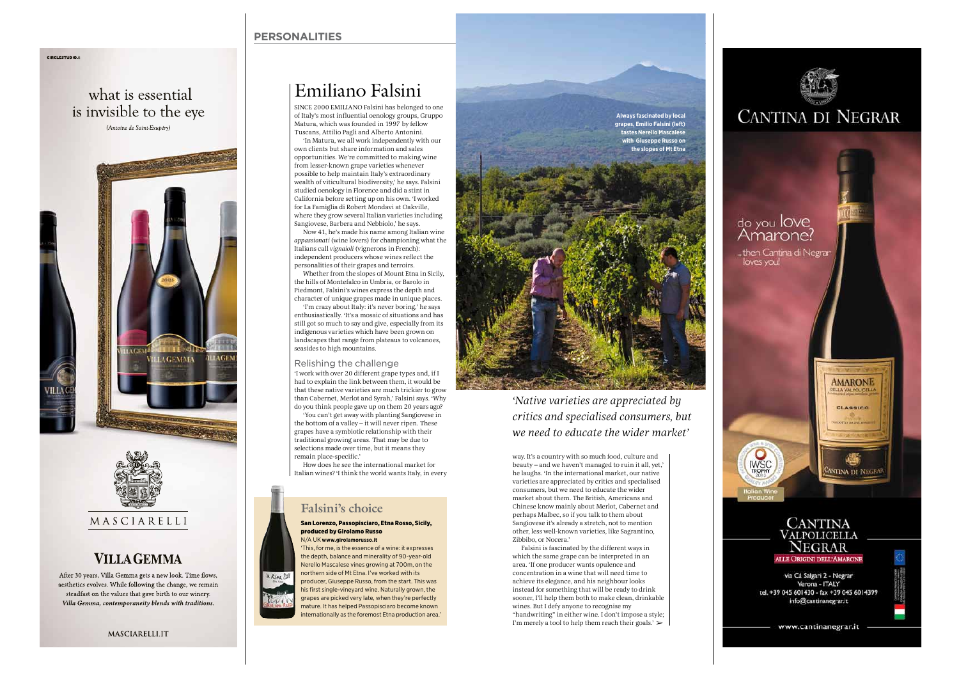## **PERSONALITIES**

what is essential is invisible to the eye (Antoine de Saint-Exupéry)

**CIRCLESTUDIO** 





# **VILLA GEMMA**

After 30 years, Villa Gemma gets a new look. Time flows, aesthetics evolves. While following the change, we remain steadfast on the values that gave birth to our winery. Villa Gemma, contemporaneity blends with traditions.

MASCIARELLI.IT

# Emiliano Falsini

SINCE 2000 EMILIANO Falsini has belonged to one of Italy's most influential oenology groups, Gruppo Matura, which was founded in 1997 by fellow Tuscans, Attilio Pagli and Alberto Antonini. 'In Matura, we all work independently with our own clients but share information and sales opportunities. We're committed to making wine from lesser-known grape varieties whenever possible to help maintain Italy's extraordinary wealth of viticultural biodiversity,' he says. Falsini studied oenology in Florence and did a stint in California before setting up on his own. 'I worked for La Famiglia di Robert Mondavi at Oakville, where they grow several Italian varieties including Sangiovese, Barbera and Nebbiolo,' he says. Now 41, he's made his name among Italian wine

*appassionati* (wine lovers) for championing what the Italians call *vignaioli* (vignerons in French): independent producers whose wines reflect the personalities of their grapes and terroirs. Whether from the slopes of Mount Etna in Sicily,

the hills of Montefalco in Umbria, or Barolo in Piedmont, Falsini's wines express the depth and character of unique grapes made in unique places. 'I'm crazy about Italy: it's never boring,' he says enthusiastically. 'It's a mosaic of situations and has

still got so much to say and give, especially from its indigenous varieties which have been grown on landscapes that range from plateaus to volcanoes, seasides to high mountains.

## Relishing the challenge

'I work with over 20 different grape types and, if I had to explain the link between them, it would be that these native varieties are much trickier to grow than Cabernet, Merlot and Syrah,' Falsini says. 'Why do you think people gave up on them 20 years ago? 'You can't get away with planting Sangiovese in the bottom of a valley – it will never ripen. These grapes have a symbiotic relationship with their traditional growing areas. That may be due to selections made over time, but it means they remain place-specific.'

How does he see the international market for Italian wines? 'I think the world wants Italy, in every

# **Falsini's choice**

#### San Lorenzo, Passopisciaro, Etna Rosso, Sicily, produced by Girolamo Russo N/A UK **www.girolamorusso.it**

'This, for me, is the essence of a wine: it expresses the depth, balance and minerality of 90-year-old Nerello Mascalese vines growing at 700m, on the northern side of Mt Etna. I've worked with its a Rine ? producer, Giuseppe Russo, from the start. This was his first single-vineyard wine. Naturally grown, the grapes are picked very late, when they're perfectly mature. It has helped Passopisciaro become known nternationally as the foremost Etna production area.



*'Native varieties are appreciated by critics and specialised consumers, but we need to educate the wider market'*

way. It's a country with so much food, culture and beauty – and we haven't managed to ruin it all, yet,' he laughs. 'In the international market, our native varieties are appreciated by critics and specialised consumers, but we need to educate the wider market about them. The British, Americans and Chinese know mainly about Merlot, Cabernet and perhaps Malbec, so if you talk to them about Sangiovese it's already a stretch, not to mention other, less well-known varieties, like Sagrantino, Zibbibo, or Nocera.'

Falsini is fascinated by the different ways in which the same grape can be interpreted in an area. 'If one producer wants opulence and concentration in a wine that will need time to achieve its elegance, and his neighbour looks instead for something that will be ready to drink sooner, I'll help them both to make clean, drinkable wines. But I defy anyone to recognise my "handwriting" in either wine. I don't impose a style; I'm merely a tool to help them reach their goals.' ➢



via Cà Salgari 2 - Negrar Verona - ITALY tel. +39 045 601430 - fax +39 045 6014399 info@cantinanegrar.it

www.cantinanegrar.it